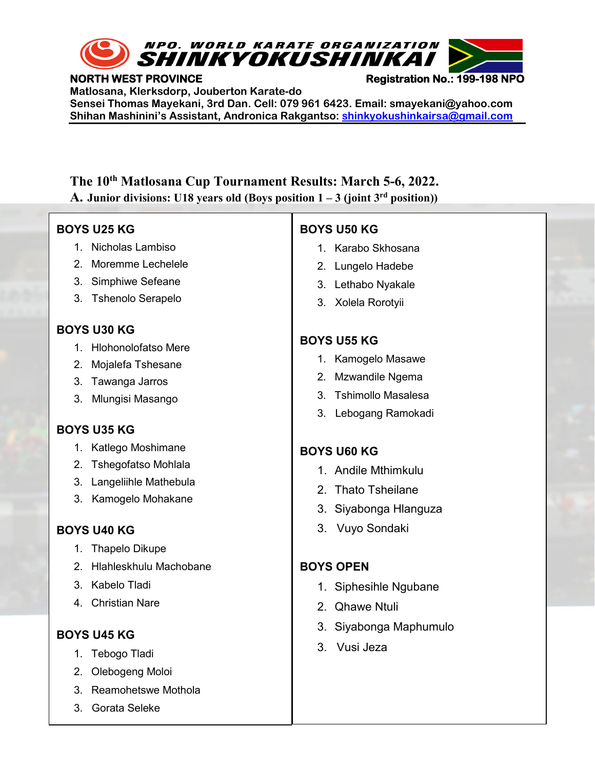

**NORTH WEST PROVINCE NORTH WEST PROVINCE Registration No.: 199-198 NPO** 

**Matlosana, Klerksdorp, Jouberton Karate-do Sensei Thomas Mayekani, 3rd Dan. Cell: 079 961 6423. Email: smayekani@yahoo.com Shihan Mashinini's Assistant, Andronica Rakgantso: [shinkyokushinkairsa@gmail.com](mailto:shinkyokushinkairsa@gmail.com)**

# **The 10th Matlosana Cup Tournament Results: March 5-6, 2022.**

**A. Junior divisions:** U18 years old (Boys position  $1 - 3$  (joint  $3<sup>rd</sup>$  position))

#### **BOYS U25 KG**

- 1. Nicholas Lambiso
- 2. Moremme Lechelele
- 3. Simphiwe Sefeane
- 3. Tshenolo Serapelo

## **BOYS U30 KG**

- 1. Hlohonolofatso Mere
- 2. Mojalefa Tshesane
- 3. Tawanga Jarros
- 3. Mlungisi Masango

# **BOYS U35 KG**

- 1. Katlego Moshimane
- 2. Tshegofatso Mohlala
- 3. Langeliihle Mathebula
- 3. Kamogelo Mohakane

# **BOYS U40 KG**

- 1. Thapelo Dikupe
- 2. Hlahleskhulu Machobane
- 3. Kabelo Tladi
- 4. Christian Nare

## **BOYS U45 KG**

- 1. Tebogo Tladi
- 2. Olebogeng Moloi
- 3. Reamohetswe Mothola
- **The 10th Matlosana Cup Tournament Results. March 5-6, 2022** 3. Gorata Seleke

# **BOYS U50 KG**

- 1. Karabo Skhosana
- 2. Lungelo Hadebe
- 3. Lethabo Nyakale
- 3. Xolela Rorotyii

# **BOYS U55 KG**

- 1. Kamogelo Masawe
- 2. Mzwandile Ngema
- 3. Tshimollo Masalesa
- 3. Lebogang Ramokadi

# **BOYS U60 KG**

- 1. Andile Mthimkulu
- 2. Thato Tsheilane
- 3. Siyabonga Hlanguza
- 3. Vuyo Sondaki

# **BOYS OPEN**

- 1. Siphesihle Ngubane
- 2. Qhawe Ntuli
- 3. Siyabonga Maphumulo
- 3. Vusi Jeza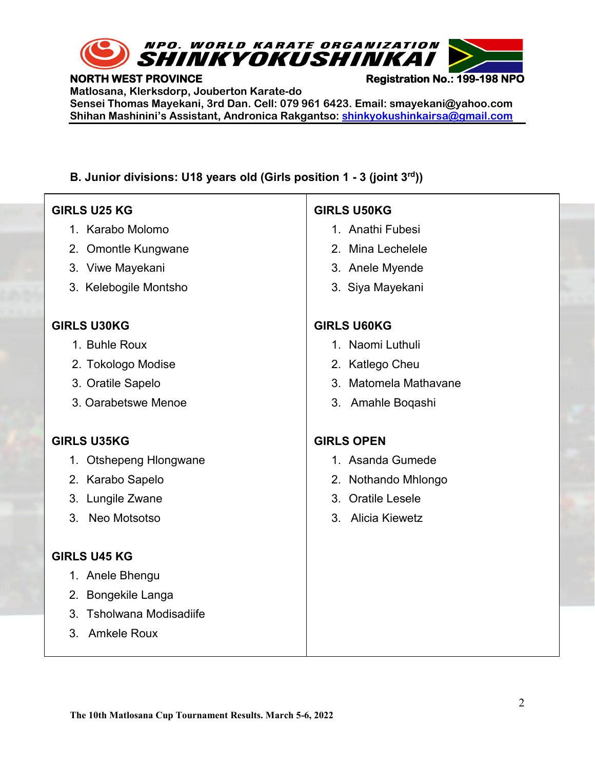

#### **NORTH WEST PROVINCE NORTH WEST PROVINCE Registration No.: 199-198 NPO**

**Matlosana, Klerksdorp, Jouberton Karate-do**

**Sensei Thomas Mayekani, 3rd Dan. Cell: 079 961 6423. Email: smayekani@yahoo.com Shihan Mashinini's Assistant, Andronica Rakgantso: [shinkyokushinkairsa@gmail.com](mailto:shinkyokushinkairsa@gmail.com)**

## **B. Junior divisions: U18 years old (Girls position 1 - 3 (joint 3rd))**

#### **GIRLS U25 KG**

֪֖֚֚֬֝֬֝֬֝֬֝֬֝

- 1. Karabo Molomo
- 2. Omontle Kungwane
- 3. Viwe Mayekani
- 3. Kelebogile Montsho

#### **GIRLS U30KG**

- 1. Buhle Roux
- 2. Tokologo Modise
- 3. Oratile Sapelo
- 3. Oarabetswe Menoe

#### **GIRLS U35KG**

- 1. Otshepeng Hlongwane
- 2. Karabo Sapelo
- 3. Lungile Zwane
- 3. Neo Motsotso

#### **GIRLS U45 KG**

- 1. Anele Bhengu
- 2. Bongekile Langa
- 3. Tsholwana Modisadiife
- 3. Amkele Roux

## **GIRLS U50KG**

- 1. Anathi Fubesi
- 2. Mina Lechelele
- 3. Anele Myende
- 3. Siya Mayekani

## **GIRLS U60KG**

- 1. Naomi Luthuli
- 2. Katlego Cheu
- 3. Matomela Mathavane
- 3. Amahle Boqashi

#### **GIRLS OPEN**

- 1. Asanda Gumede
- 2. Nothando Mhlongo
- 3. Oratile Lesele
- 3. Alicia Kiewetz